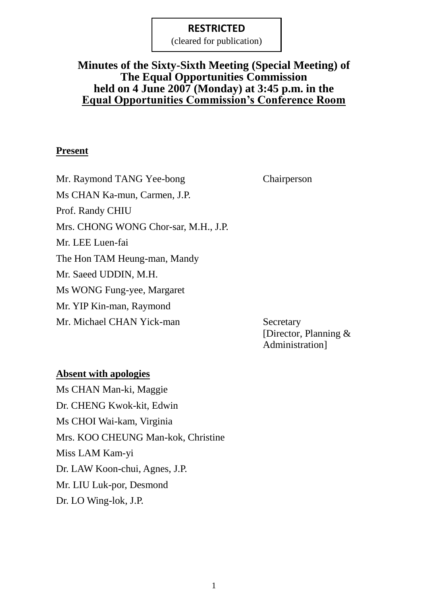(cleared for publication)

## **Minutes of the Sixty-Sixth Meeting (Special Meeting) of The Equal Opportunities Commission held on 4 June 2007 (Monday) at 3:45 p.m. in the Equal Opportunities Commission's Conference Room**

## **Present**

Mr. Raymond TANG Yee-bong Chairperson Ms CHAN Ka-mun, Carmen, J.P. Prof. Randy CHIU Mrs. CHONG WONG Chor-sar, M.H., J.P. Mr. LEE Luen-fai The Hon TAM Heung-man, Mandy Mr. Saeed UDDIN, M.H. Ms WONG Fung-yee, Margaret Mr. YIP Kin-man, Raymond Mr. Michael CHAN Yick-man Secretary

[Director, Planning & Administration]

## **Absent with apologies**

Ms CHAN Man-ki, Maggie Dr. CHENG Kwok-kit, Edwin Ms CHOI Wai-kam, Virginia Mrs. KOO CHEUNG Man-kok, Christine Miss LAM Kam-yi Dr. LAW Koon-chui, Agnes, J.P. Mr. LIU Luk-por, Desmond Dr. LO Wing-lok, J.P.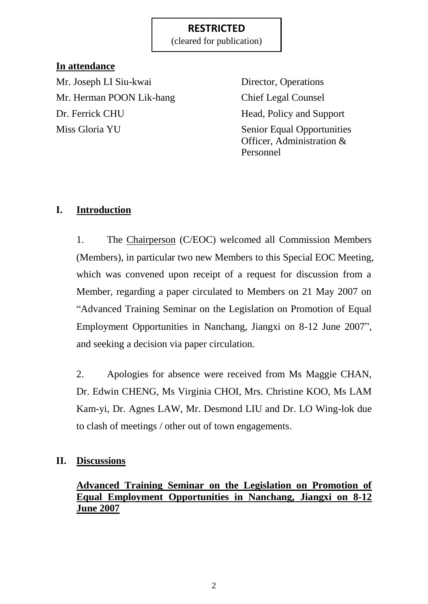(cleared for publication)

## **In attendance**

Mr. Joseph LI Siu-kwai Director, Operations Mr. Herman POON Lik-hang Chief Legal Counsel Dr. Ferrick CHU Head, Policy and Support Miss Gloria YU Senior Equal Opportunities

Officer, Administration & Personnel

# **I. Introduction**

1. The Chairperson (C/EOC) welcomed all Commission Members (Members), in particular two new Members to this Special EOC Meeting, which was convened upon receipt of a request for discussion from a Member, regarding a paper circulated to Members on 21 May 2007 on "Advanced Training Seminar on the Legislation on Promotion of Equal Employment Opportunities in Nanchang, Jiangxi on 8-12 June 2007", and seeking a decision via paper circulation.

2. Apologies for absence were received from Ms Maggie CHAN, Dr. Edwin CHENG, Ms Virginia CHOI, Mrs. Christine KOO, Ms LAM Kam-yi, Dr. Agnes LAW, Mr. Desmond LIU and Dr. LO Wing-lok due to clash of meetings / other out of town engagements.

## **II. Discussions**

# **Advanced Training Seminar on the Legislation on Promotion of Equal Employment Opportunities in Nanchang, Jiangxi on 8-12 June 2007**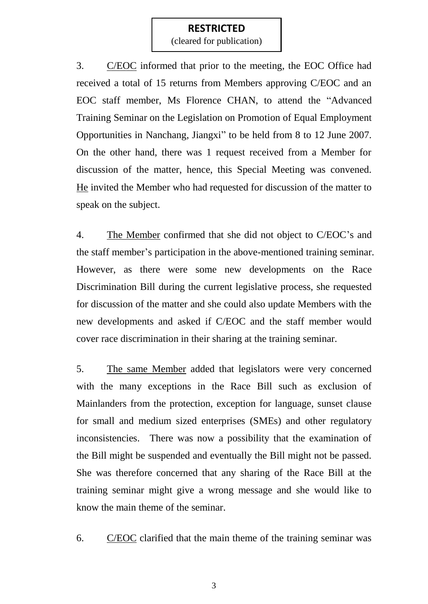(cleared for publication)

3. C/EOC informed that prior to the meeting, the EOC Office had received a total of 15 returns from Members approving C/EOC and an EOC staff member, Ms Florence CHAN, to attend the "Advanced Training Seminar on the Legislation on Promotion of Equal Employment Opportunities in Nanchang, Jiangxi" to be held from 8 to 12 June 2007. On the other hand, there was 1 request received from a Member for discussion of the matter, hence, this Special Meeting was convened. He invited the Member who had requested for discussion of the matter to speak on the subject.

4. The Member confirmed that she did not object to C/EOC's and the staff member's participation in the above-mentioned training seminar. However, as there were some new developments on the Race Discrimination Bill during the current legislative process, she requested for discussion of the matter and she could also update Members with the new developments and asked if C/EOC and the staff member would cover race discrimination in their sharing at the training seminar.

5. The same Member added that legislators were very concerned with the many exceptions in the Race Bill such as exclusion of Mainlanders from the protection, exception for language, sunset clause for small and medium sized enterprises (SMEs) and other regulatory inconsistencies. There was now a possibility that the examination of the Bill might be suspended and eventually the Bill might not be passed. She was therefore concerned that any sharing of the Race Bill at the training seminar might give a wrong message and she would like to know the main theme of the seminar.

6. C/EOC clarified that the main theme of the training seminar was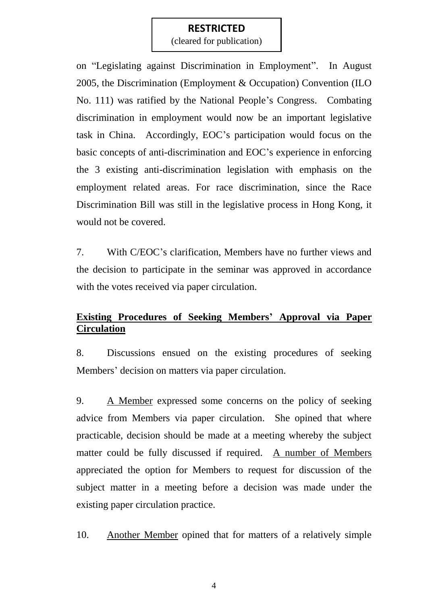(cleared for publication)

on "Legislating against Discrimination in Employment". In August 2005, the Discrimination (Employment & Occupation) Convention (ILO No. 111) was ratified by the National People's Congress. Combating discrimination in employment would now be an important legislative task in China. Accordingly, EOC's participation would focus on the basic concepts of anti-discrimination and EOC's experience in enforcing the 3 existing anti-discrimination legislation with emphasis on the employment related areas. For race discrimination, since the Race Discrimination Bill was still in the legislative process in Hong Kong, it would not be covered.

7. With C/EOC's clarification, Members have no further views and the decision to participate in the seminar was approved in accordance with the votes received via paper circulation.

## **Existing Procedures of Seeking Members' Approval via Paper Circulation**

8. Discussions ensued on the existing procedures of seeking Members' decision on matters via paper circulation.

9. A Member expressed some concerns on the policy of seeking advice from Members via paper circulation. She opined that where practicable, decision should be made at a meeting whereby the subject matter could be fully discussed if required. A number of Members appreciated the option for Members to request for discussion of the subject matter in a meeting before a decision was made under the existing paper circulation practice.

10. Another Member opined that for matters of a relatively simple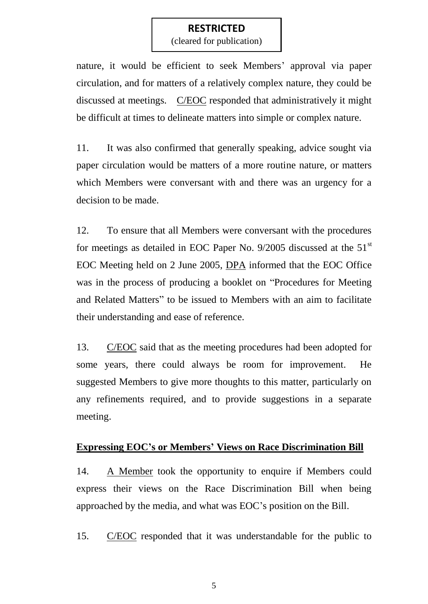(cleared for publication)

nature, it would be efficient to seek Members' approval via paper circulation, and for matters of a relatively complex nature, they could be discussed at meetings. C/EOC responded that administratively it might be difficult at times to delineate matters into simple or complex nature.

11. It was also confirmed that generally speaking, advice sought via paper circulation would be matters of a more routine nature, or matters which Members were conversant with and there was an urgency for a decision to be made.

12. To ensure that all Members were conversant with the procedures for meetings as detailed in EOC Paper No.  $9/2005$  discussed at the  $51<sup>st</sup>$ EOC Meeting held on 2 June 2005, DPA informed that the EOC Office was in the process of producing a booklet on "Procedures for Meeting and Related Matters" to be issued to Members with an aim to facilitate their understanding and ease of reference.

13. C/EOC said that as the meeting procedures had been adopted for some years, there could always be room for improvement. He suggested Members to give more thoughts to this matter, particularly on any refinements required, and to provide suggestions in a separate meeting.

#### **Expressing EOC's or Members' Views on Race Discrimination Bill**

14. A Member took the opportunity to enquire if Members could express their views on the Race Discrimination Bill when being approached by the media, and what was EOC's position on the Bill.

15. C/EOC responded that it was understandable for the public to